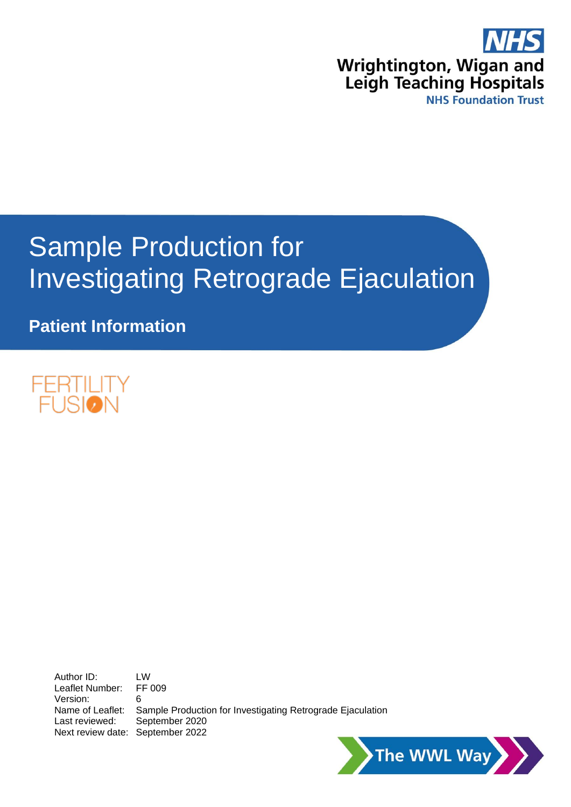

# Sample Production for Investigating Retrograde Ejaculation

**Patient Information**



Author ID: LW<br>Leaflet Number: FF 009 Leaflet Number: Version: 6 Name of Leaflet: Sample Production for Investigating Retrograde Ejaculation Last reviewed: September 2020 Next review date: September 2022

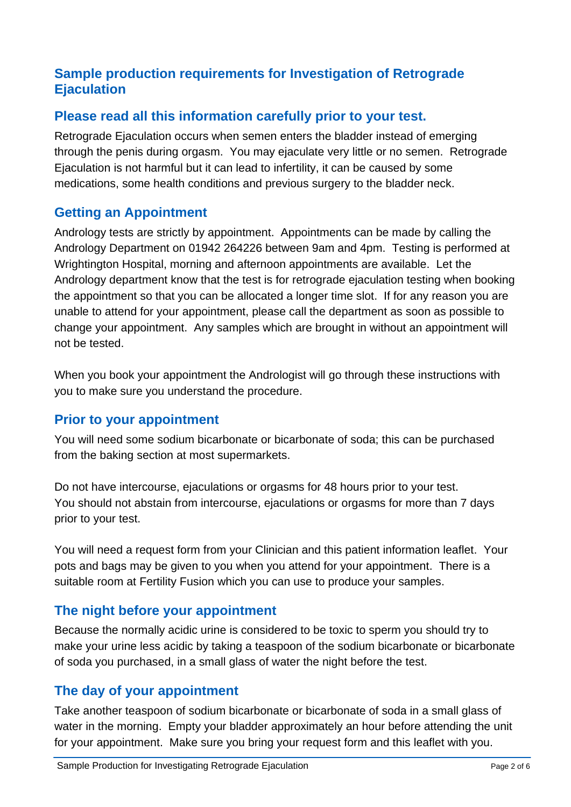## **Sample production requirements for Investigation of Retrograde Ejaculation**

## **Please read all this information carefully prior to your test.**

Retrograde Ejaculation occurs when semen enters the bladder instead of emerging through the penis during orgasm. You may ejaculate very little or no semen. Retrograde Ejaculation is not harmful but it can lead to infertility, it can be caused by some medications, some health conditions and previous surgery to the bladder neck.

# **Getting an Appointment**

Andrology tests are strictly by appointment. Appointments can be made by calling the Andrology Department on 01942 264226 between 9am and 4pm. Testing is performed at Wrightington Hospital, morning and afternoon appointments are available. Let the Andrology department know that the test is for retrograde ejaculation testing when booking the appointment so that you can be allocated a longer time slot. If for any reason you are unable to attend for your appointment, please call the department as soon as possible to change your appointment. Any samples which are brought in without an appointment will not be tested.

When you book your appointment the Andrologist will go through these instructions with you to make sure you understand the procedure.

## **Prior to your appointment**

You will need some sodium bicarbonate or bicarbonate of soda; this can be purchased from the baking section at most supermarkets.

Do not have intercourse, ejaculations or orgasms for 48 hours prior to your test. You should not abstain from intercourse, ejaculations or orgasms for more than 7 days prior to your test.

You will need a request form from your Clinician and this patient information leaflet. Your pots and bags may be given to you when you attend for your appointment. There is a suitable room at Fertility Fusion which you can use to produce your samples.

## **The night before your appointment**

Because the normally acidic urine is considered to be toxic to sperm you should try to make your urine less acidic by taking a teaspoon of the sodium bicarbonate or bicarbonate of soda you purchased, in a small glass of water the night before the test.

## **The day of your appointment**

Take another teaspoon of sodium bicarbonate or bicarbonate of soda in a small glass of water in the morning. Empty your bladder approximately an hour before attending the unit for your appointment. Make sure you bring your request form and this leaflet with you.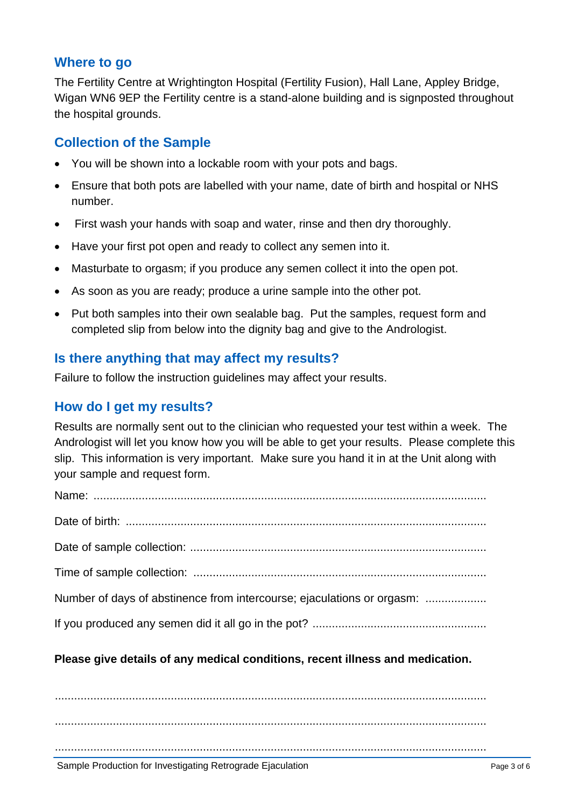## **Where to go**

The Fertility Centre at Wrightington Hospital (Fertility Fusion), Hall Lane, Appley Bridge, Wigan WN6 9EP the Fertility centre is a stand-alone building and is signposted throughout the hospital grounds.

## **Collection of the Sample**

- You will be shown into a lockable room with your pots and bags.
- Ensure that both pots are labelled with your name, date of birth and hospital or NHS number.
- First wash your hands with soap and water, rinse and then dry thoroughly.
- Have your first pot open and ready to collect any semen into it.
- Masturbate to orgasm; if you produce any semen collect it into the open pot.
- As soon as you are ready; produce a urine sample into the other pot.
- Put both samples into their own sealable bag. Put the samples, request form and completed slip from below into the dignity bag and give to the Andrologist.

## **Is there anything that may affect my results?**

Failure to follow the instruction guidelines may affect your results.

## **How do I get my results?**

Results are normally sent out to the clinician who requested your test within a week. The Andrologist will let you know how you will be able to get your results. Please complete this slip. This information is very important. Make sure you hand it in at the Unit along with your sample and request form.

| Number of days of abstinence from intercourse; ejaculations or orgasm: |
|------------------------------------------------------------------------|
|                                                                        |

#### **Please give details of any medical conditions, recent illness and medication.**

...................................................................................................................................... ......................................................................................................................................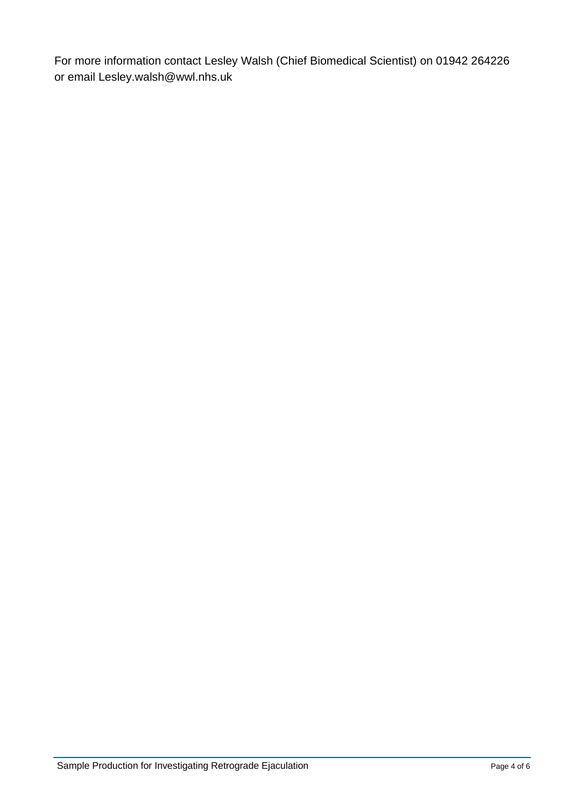For more information contact Lesley Walsh (Chief Biomedical Scientist) on 01942 264226 or email [Lesley.walsh@wwl.nhs.uk](mailto:Lesley.walsh@wwl.nhs.uk)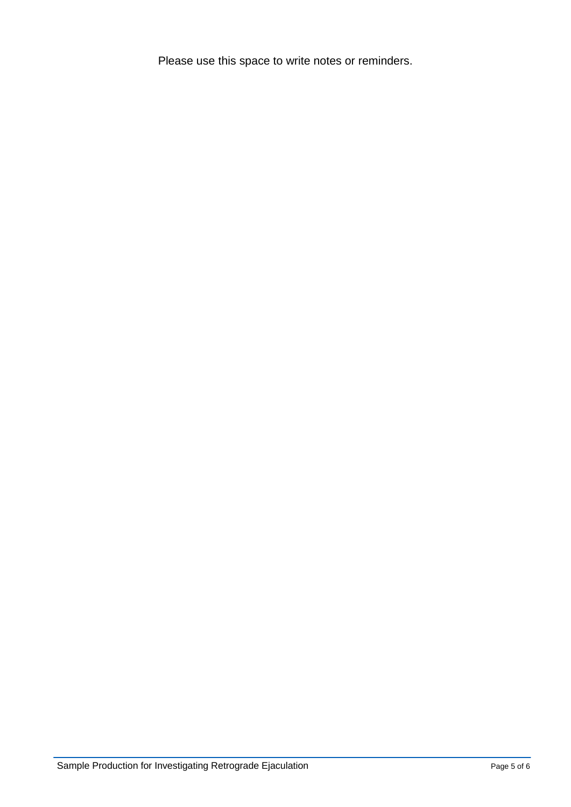Please use this space to write notes or reminders.